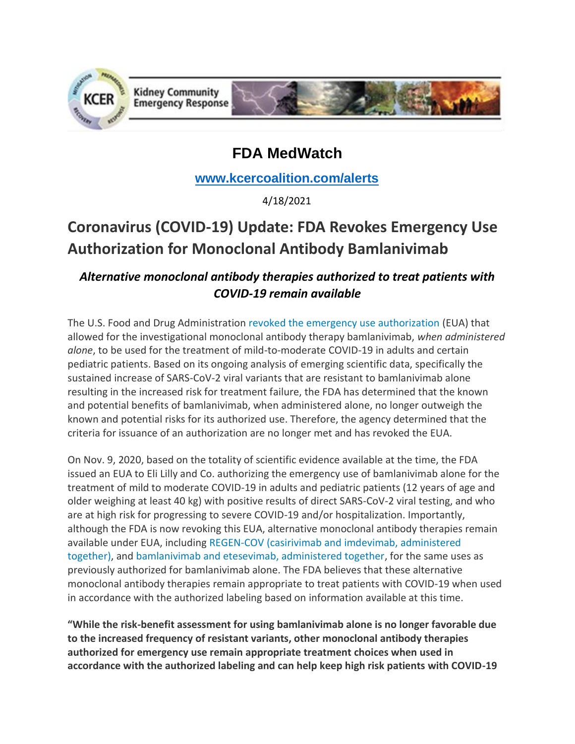

## **FDA MedWatch**

**[www.kcercoalition.com/alerts](http://www.kcercoalition.com/alerts)**

4/18/2021

# **Coronavirus (COVID-19) Update: FDA Revokes Emergency Use Authorization for Monoclonal Antibody Bamlanivimab**

### *Alternative monoclonal antibody therapies authorized to treat patients with COVID-19 remain available*

The U.S. Food and Drug Administration [revoked the emergency use authorization](https://www.fda.gov/media/147629/download) (EUA) that allowed for the investigational monoclonal antibody therapy bamlanivimab, *when administered alone*, to be used for the treatment of mild-to-moderate COVID-19 in adults and certain pediatric patients. Based on its ongoing analysis of emerging scientific data, specifically the sustained increase of SARS-CoV-2 viral variants that are resistant to bamlanivimab alone resulting in the increased risk for treatment failure, the FDA has determined that the known and potential benefits of bamlanivimab, when administered alone, no longer outweigh the known and potential risks for its authorized use. Therefore, the agency determined that the criteria for issuance of an authorization are no longer met and has revoked the EUA.

On Nov. 9, 2020, based on the totality of scientific evidence available at the time, the FDA issued an EUA to Eli Lilly and Co. authorizing the emergency use of bamlanivimab alone for the treatment of mild to moderate COVID-19 in adults and pediatric patients (12 years of age and older weighing at least 40 kg) with positive results of direct SARS-CoV-2 viral testing, and who are at high risk for progressing to severe COVID-19 and/or hospitalization. Importantly, although the FDA is now revoking this EUA, alternative monoclonal antibody therapies remain available under EUA, including [REGEN-COV \(casirivimab and imdevimab, administered](https://www.fda.gov/media/145610/download)  [together\),](https://www.fda.gov/media/145610/download) and [bamlanivimab and etesevimab, administered together,](https://www.fda.gov/media/145801/download) for the same uses as previously authorized for bamlanivimab alone. The FDA believes that these alternative monoclonal antibody therapies remain appropriate to treat patients with COVID-19 when used in accordance with the authorized labeling based on information available at this time.

**"While the risk-benefit assessment for using bamlanivimab alone is no longer favorable due to the increased frequency of resistant variants, other monoclonal antibody therapies authorized for emergency use remain appropriate treatment choices when used in accordance with the authorized labeling and can help keep high risk patients with COVID-19**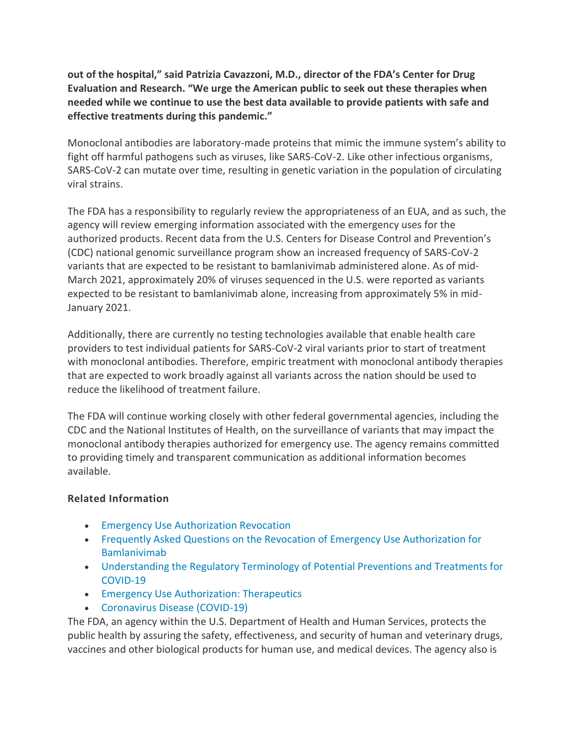**out of the hospital," said Patrizia Cavazzoni, M.D., director of the FDA's Center for Drug Evaluation and Research. "We urge the American public to seek out these therapies when needed while we continue to use the best data available to provide patients with safe and effective treatments during this pandemic."**

Monoclonal antibodies are laboratory-made proteins that mimic the immune system's ability to fight off harmful pathogens such as viruses, like SARS-CoV-2. Like other infectious organisms, SARS-CoV-2 can mutate over time, resulting in genetic variation in the population of circulating viral strains.

The FDA has a responsibility to regularly review the appropriateness of an EUA, and as such, the agency will review emerging information associated with the emergency uses for the authorized products. Recent data from the U.S. Centers for Disease Control and Prevention's (CDC) national genomic surveillance program show an increased frequency of SARS-CoV-2 variants that are expected to be resistant to bamlanivimab administered alone. As of mid-March 2021, approximately 20% of viruses sequenced in the U.S. were reported as variants expected to be resistant to bamlanivimab alone, increasing from approximately 5% in mid-January 2021.

Additionally, there are currently no testing technologies available that enable health care providers to test individual patients for SARS-CoV-2 viral variants prior to start of treatment with monoclonal antibodies. Therefore, empiric treatment with monoclonal antibody therapies that are expected to work broadly against all variants across the nation should be used to reduce the likelihood of treatment failure.

The FDA will continue working closely with other federal governmental agencies, including the CDC and the National Institutes of Health, on the surveillance of variants that may impact the monoclonal antibody therapies authorized for emergency use. The agency remains committed to providing timely and transparent communication as additional information becomes available.

#### **Related Information**

- [Emergency Use Authorization Revocation](https://www.fda.gov/media/147629/download)
- [Frequently Asked Questions on the Revocation of Emergency Use Authorization for](https://www.fda.gov/media/147639/download)  [Bamlanivimab](https://www.fda.gov/media/147639/download)
- [Understanding the Regulatory Terminology of Potential Preventions and Treatments for](https://www.fda.gov/consumers/consumer-updates/understanding-regulatory-terminology-potential-preventions-and-treatments-covid-19)  [COVID-19](https://www.fda.gov/consumers/consumer-updates/understanding-regulatory-terminology-potential-preventions-and-treatments-covid-19)
- [Emergency Use Authorization: Therapeutics](https://www.fda.gov/emergency-preparedness-and-response/mcm-legal-regulatory-and-policy-framework/emergency-use-authorization#coviddrugs)
- [Coronavirus Disease \(COVID-19\)](https://www.fda.gov/emergency-preparedness-and-response/counterterrorism-and-emerging-threats/coronavirus-disease-2019-covid-19)

The FDA, an agency within the U.S. Department of Health and Human Services, protects the public health by assuring the safety, effectiveness, and security of human and veterinary drugs, vaccines and other biological products for human use, and medical devices. The agency also is